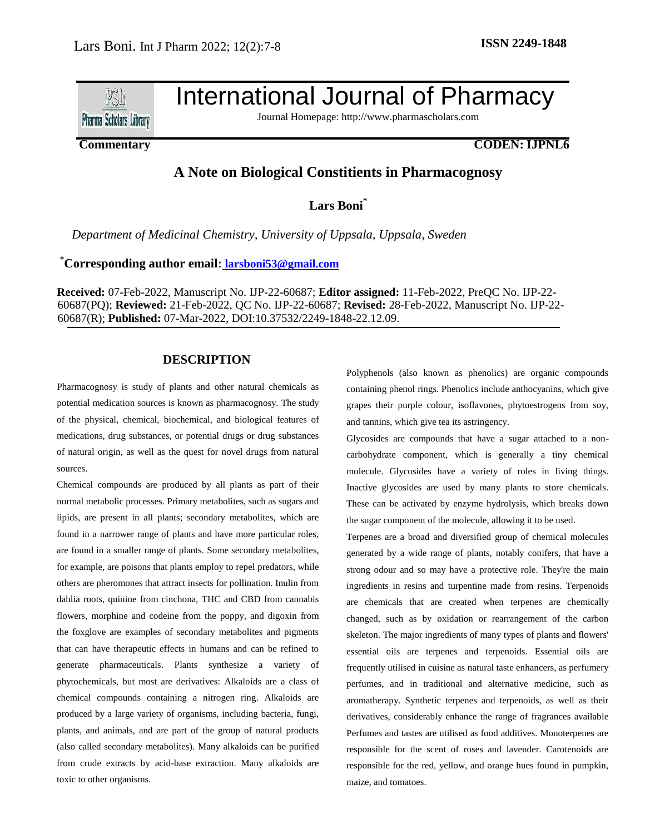

# International Journal of Pharmacy

Journal Homepage: [http://www.pharmascholars.com](http://www.pharmascholars.com/)

# **Commentary CODEN: IJPNL6**

# **A Note on Biological Constitients in Pharmacognosy**

**Lars Boni\***

*Department of Medicinal Chemistry, University of Uppsala, Uppsala, Sweden*

# **\*Corresponding author email: l[arsboni53@gmail.com](mailto:%20larsboni53@gmail.com)**

**Received:** 07-Feb-2022, Manuscript No. IJP-22-60687; **Editor assigned:** 11-Feb-2022, PreQC No. IJP-22- 60687(PQ); **Reviewed:** 21-Feb-2022, QC No. IJP-22-60687; **Revised:** 28-Feb-2022, Manuscript No. IJP-22- 60687(R); **Published:** 07-Mar-2022, DOI:10.37532/2249-1848-22.12.09.

#### **DESCRIPTION**

Pharmacognosy is study of plants and other natural chemicals as potential medication sources is known as pharmacognosy. The study of the physical, chemical, biochemical, and biological features of medications, drug substances, or potential drugs or drug substances of natural origin, as well as the quest for novel drugs from natural sources.

Chemical compounds are produced by all plants as part of their normal metabolic processes. Primary metabolites, such as sugars and lipids, are present in all plants; secondary metabolites, which are found in a narrower range of plants and have more particular roles, are found in a smaller range of plants. Some secondary metabolites, for example, are poisons that plants employ to repel predators, while others are pheromones that attract insects for pollination. Inulin from dahlia roots, quinine from cinchona, THC and CBD from cannabis flowers, morphine and codeine from the poppy, and digoxin from the foxglove are examples of secondary metabolites and pigments that can have therapeutic effects in humans and can be refined to generate pharmaceuticals. Plants synthesize a variety of phytochemicals, but most are derivatives: Alkaloids are a class of chemical compounds containing a nitrogen ring. Alkaloids are produced by a large variety of organisms, including bacteria, fungi, plants, and animals, and are part of the group of natural products (also called secondary metabolites). Many alkaloids can be purified from crude extracts by acid-base extraction. Many alkaloids are toxic to other organisms.

Polyphenols (also known as phenolics) are organic compounds containing phenol rings. Phenolics include anthocyanins, which give grapes their purple colour, isoflavones, phytoestrogens from soy, and tannins, which give tea its astringency.

Glycosides are compounds that have a sugar attached to a noncarbohydrate component, which is generally a tiny chemical molecule. Glycosides have a variety of roles in living things. Inactive glycosides are used by many plants to store chemicals. These can be activated by enzyme hydrolysis, which breaks down the sugar component of the molecule, allowing it to be used.

Terpenes are a broad and diversified group of chemical molecules generated by a wide range of plants, notably conifers, that have a strong odour and so may have a protective role. They're the main ingredients in resins and turpentine made from resins. Terpenoids are chemicals that are created when terpenes are chemically changed, such as by oxidation or rearrangement of the carbon skeleton. The major ingredients of many types of plants and flowers' essential oils are terpenes and terpenoids. Essential oils are frequently utilised in cuisine as natural taste enhancers, as perfumery perfumes, and in traditional and alternative medicine, such as aromatherapy. Synthetic terpenes and terpenoids, as well as their derivatives, considerably enhance the range of fragrances available Perfumes and tastes are utilised as food additives. Monoterpenes are responsible for the scent of roses and lavender. Carotenoids are responsible for the red, yellow, and orange hues found in pumpkin, maize, and tomatoes.